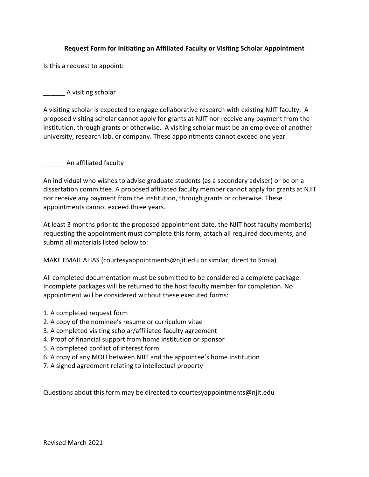# **Request Form for Initiating an Affiliated Faculty or Visiting Scholar Appointment**

Is this a request to appoint:

# \_\_\_\_\_\_ A visiting scholar

A visiting scholar is expected to engage collaborative research with existing NJIT faculty. A proposed visiting scholar cannot apply for grants at NJIT nor receive any payment from the institution, through grants or otherwise. A visiting scholar must be an employee of another university, research lab, or company. These appointments cannot exceed one year.

# \_\_\_\_\_\_ An affiliated faculty

An individual who wishes to advise graduate students (as a secondary adviser) or be on a dissertation committee. A proposed affiliated faculty member cannot apply for grants at NJIT nor receive any payment from the institution, through grants or otherwise. These appointments cannot exceed three years.

At least 3 months prior to the proposed appointment date, the NJIT host faculty member(s) requesting the appointment must complete this form, attach all required documents, and submit all materials listed below to:

MAKE EMAIL ALIAS (courtesyappointments@njit.edu or similar; direct to Sonia)

All completed documentation must be submitted to be considered a complete package. Incomplete packages will be returned to the host faculty member for completion. No appointment will be considered without these executed forms:

- 1. A completed request form
- 2. A copy of the nominee's resume or curriculum vitae
- 3. A completed visiting scholar/affiliated faculty agreement
- 4. Proof of financial support from home institution or sponsor
- 5. A completed conflict of interest form
- 6. A copy of any MOU between NJIT and the appointee's home institution
- 7. A signed agreement relating to intellectual property

Questions about this form may be directed to courtesyappointments@njit.edu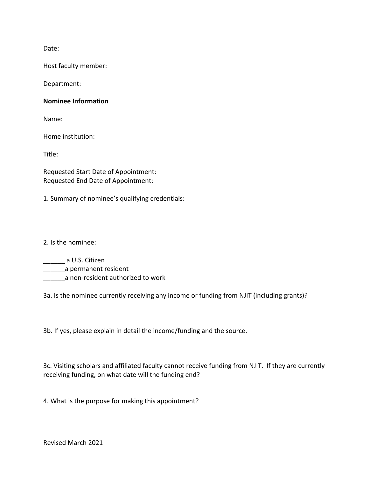Date:

Host faculty member:

Department:

## **Nominee Information**

Name:

Home institution:

Title:

Requested Start Date of Appointment: Requested End Date of Appointment:

1. Summary of nominee's qualifying credentials:

2. Is the nominee:

\_\_\_\_\_\_ a U.S. Citizen **\_\_\_\_\_\_\_\_\_**a permanent resident

\_\_\_\_\_\_a non-resident authorized to work

3a. Is the nominee currently receiving any income or funding from NJIT (including grants)?

3b. If yes, please explain in detail the income/funding and the source.

3c. Visiting scholars and affiliated faculty cannot receive funding from NJIT. If they are currently receiving funding, on what date will the funding end?

4. What is the purpose for making this appointment?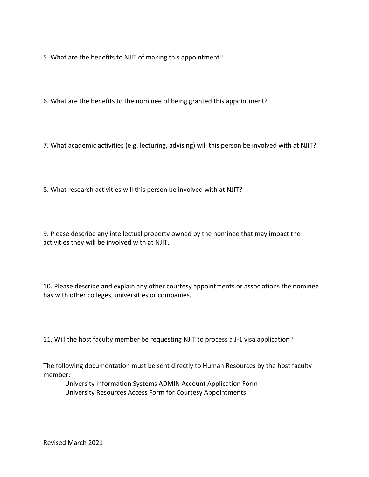5. What are the benefits to NJIT of making this appointment?

6. What are the benefits to the nominee of being granted this appointment?

7. What academic activities (e.g. lecturing, advising) will this person be involved with at NJIT?

8. What research activities will this person be involved with at NJIT?

9. Please describe any intellectual property owned by the nominee that may impact the activities they will be involved with at NJIT.

10. Please describe and explain any other courtesy appointments or associations the nominee has with other colleges, universities or companies.

11. Will the host faculty member be requesting NJIT to process a J-1 visa application?

The following documentation must be sent directly to Human Resources by the host faculty member:

University Information Systems ADMIN Account Application Form University Resources Access Form for Courtesy Appointments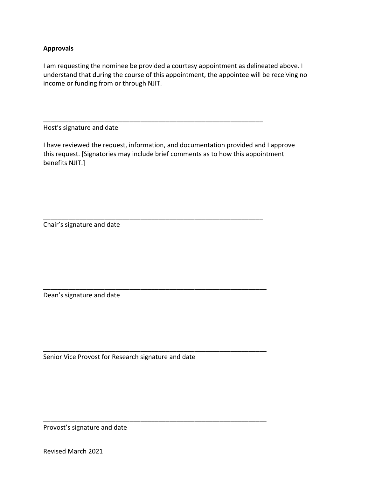# **Approvals**

I am requesting the nominee be provided a courtesy appointment as delineated above. I understand that during the course of this appointment, the appointee will be receiving no income or funding from or through NJIT.

Host's signature and date

I have reviewed the request, information, and documentation provided and I approve this request. [Signatories may include brief comments as to how this appointment benefits NJIT.]

\_\_\_\_\_\_\_\_\_\_\_\_\_\_\_\_\_\_\_\_\_\_\_\_\_\_\_\_\_\_\_\_\_\_\_\_\_\_\_\_\_\_\_\_\_\_\_\_\_\_\_\_\_\_\_\_\_\_\_\_\_

\_\_\_\_\_\_\_\_\_\_\_\_\_\_\_\_\_\_\_\_\_\_\_\_\_\_\_\_\_\_\_\_\_\_\_\_\_\_\_\_\_\_\_\_\_\_\_\_\_\_\_\_\_\_\_\_\_\_\_\_\_

\_\_\_\_\_\_\_\_\_\_\_\_\_\_\_\_\_\_\_\_\_\_\_\_\_\_\_\_\_\_\_\_\_\_\_\_\_\_\_\_\_\_\_\_\_\_\_\_\_\_\_\_\_\_\_\_\_\_\_\_\_\_

\_\_\_\_\_\_\_\_\_\_\_\_\_\_\_\_\_\_\_\_\_\_\_\_\_\_\_\_\_\_\_\_\_\_\_\_\_\_\_\_\_\_\_\_\_\_\_\_\_\_\_\_\_\_\_\_\_\_\_\_\_\_

\_\_\_\_\_\_\_\_\_\_\_\_\_\_\_\_\_\_\_\_\_\_\_\_\_\_\_\_\_\_\_\_\_\_\_\_\_\_\_\_\_\_\_\_\_\_\_\_\_\_\_\_\_\_\_\_\_\_\_\_\_\_

Chair's signature and date

Dean's signature and date

Senior Vice Provost for Research signature and date

Provost's signature and date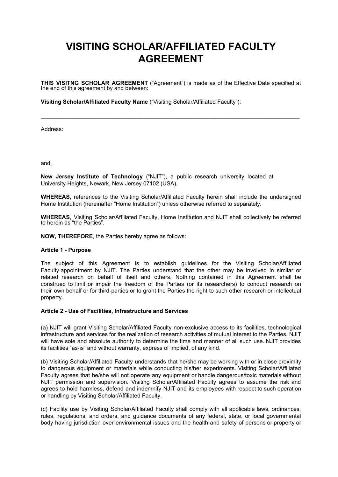# **VISITING SCHOLAR/AFFILIATED FACULTY AGREEMENT**

**THIS VISITNG SCHOLAR AGREEMENT** ("Agreement") is made as of the Effective Date specified at the end of this agreement by and between:

 $\mathcal{L}_\text{max}$  , and the contribution of the contribution of the contribution of the contribution of the contribution of the contribution of the contribution of the contribution of the contribution of the contribution of t

**Visiting Scholar/Affiliated Faculty Name** ("Visiting Scholar/Affiliated Faculty"):

Address:

and,

**New Jersey Institute of Technology** ("NJIT"), a public research university located at University Heights, Newark, New Jersey 07102 (USA).

**WHEREAS,** references to the Visiting Scholar/Affiliated Faculty herein shall include the undersigned Home Institution (hereinafter "Home Institution") unless otherwise referred to separately.

**WHEREAS**, Visiting Scholar/Affiliated Faculty, Home Institution and NJIT shall collectively be referred to herein as "the Parties".

**NOW, THEREFORE**, the Parties hereby agree as follows:

#### **Article 1 - Purpose**

The subject of this Agreement is to establish guidelines for the Visiting Scholar/Affiliated Faculty appointment by NJIT. The Parties understand that the other may be involved in similar or related research on behalf of itself and others. Nothing contained in this Agreement shall be construed to limit or impair the freedom of the Parties (or its researchers) to conduct research on their own behalf or for third-parties or to grant the Parties the right to such other research or intellectual property.

#### **Article 2 - Use of Facilities, Infrastructure and Services**

(a) NJIT will grant Visiting Scholar/Affiliated Faculty non-exclusive access to its facilities, technological infrastructure and services for the realization of research activities of mutual interest to the Parties. NJIT will have sole and absolute authority to determine the time and manner of all such use. NJIT provides its facilities "as-is" and without warranty, express of implied, of any kind.

(b) Visiting Scholar/Affiliated Faculty understands that he/she may be working with or in close proximity to dangerous equipment or materials while conducting his/her experiments. Visiting Scholar/Affiliated Faculty agrees that he/she will not operate any equipment or handle dangerous/toxic materials without NJIT permission and supervision. Visiting Scholar/Affiliated Faculty agrees to assume the risk and agrees to hold harmless, defend and indemnify NJIT and its employees with respect to such operation or handling by Visiting Scholar/Affiliated Faculty.

(c) Facility use by Visiting Scholar/Affiliated Faculty shall comply with all applicable laws, ordinances, rules, regulations, and orders, and guidance documents of any federal, state, or local governmental body having jurisdiction over environmental issues and the health and safety of persons or property or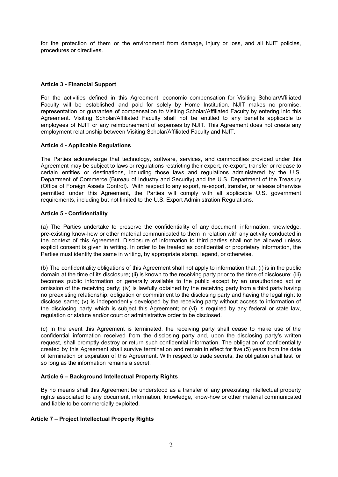for the protection of them or the environment from damage, injury or loss, and all NJIT policies, procedures or directives.

## **Article 3 - Financial Support**

For the activities defined in this Agreement, economic compensation for Visiting Scholar/Affiliated Faculty will be established and paid for solely by Home Institution. NJIT makes no promise, representation or guarantee of compensation to Visiting Scholar/Affiliated Faculty by entering into this Agreement. Visiting Scholar/Affiliated Faculty shall not be entitled to any benefits applicable to employees of NJIT or any reimbursement of expenses by NJIT. This Agreement does not create any employment relationship between Visiting Scholar/Affiliated Faculty and NJIT.

#### **Article 4 - Applicable Regulations**

The Parties acknowledge that technology, software, services, and commodities provided under this Agreement may be subject to laws or regulations restricting their export, re-export, transfer or release to certain entities or destinations, including those laws and regulations administered by the U.S. Department of Commerce (Bureau of Industry and Security) and the U.S. Department of the Treasury (Office of Foreign Assets Control). With respect to any export, re-export, transfer, or release otherwise permitted under this Agreement, the Parties will comply with all applicable U.S. government requirements, including but not limited to the U.S. Export Administration Regulations.

#### **Article 5 - Confidentiality**

(a) The Parties undertake to preserve the confidentiality of any document, information, knowledge, pre-existing know-how or other material communicated to them in relation with any activity conducted in the context of this Agreement. Disclosure of information to third parties shall not be allowed unless explicit consent is given in writing. In order to be treated as confidential or proprietary information, the Parties must identify the same in writing, by appropriate stamp, legend, or otherwise.

(b) The confidentiality obligations of this Agreement shall not apply to information that: (i) is in the public domain at the time of its disclosure; (ii) is known to the receiving party prior to the time of disclosure; (iii) becomes public information or generally available to the public except by an unauthorized act or omission of the receiving party; (iv) is lawfully obtained by the receiving party from a third party having no preexisting relationship, obligation or commitment to the disclosing party and having the legal right to disclose same; (v) is independently developed by the receiving party without access to information of the disclosing party which is subject this Agreement; or (vi) is required by any federal or state law, regulation or statute and/or court or administrative order to be disclosed.

(c) In the event this Agreement is terminated, the receiving party shall cease to make use of the confidential information received from the disclosing party and, upon the disclosing party's written request, shall promptly destroy or return such confidential information. The obligation of confidentiality created by this Agreement shall survive termination and remain in effect for five (5) years from the date of termination or expiration of this Agreement. With respect to trade secrets, the obligation shall last for so long as the information remains a secret.

## **Article 6 – Background Intellectual Property Rights**

By no means shall this Agreement be understood as a transfer of any preexisting intellectual property rights associated to any document, information, knowledge, know-how or other material communicated and liable to be commercially exploited.

#### **Article 7 – Project Intellectual Property Rights**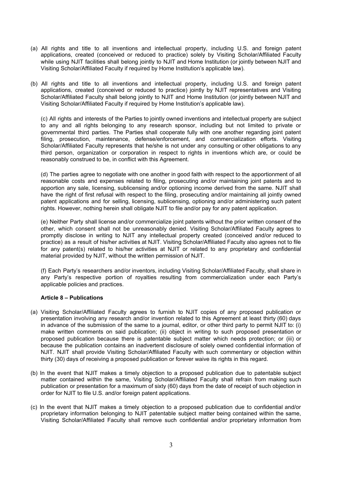- (a) All rights and title to all inventions and intellectual property, including U.S. and foreign patent applications, created (conceived or reduced to practice) solely by Visiting Scholar/Affiliated Faculty while using NJIT facilities shall belong jointly to NJIT and Home Institution (or jointly between NJIT and Visiting Scholar/Affiliated Faculty if required by Home Institution's applicable law).
- (b) All rights and title to all inventions and intellectual property, including U.S. and foreign patent applications, created (conceived or reduced to practice) jointly by NJIT representatives and Visiting Scholar/Affiliated Faculty shall belong jointly to NJIT and Home Institution (or jointly between NJIT and Visiting Scholar/Affiliated Faculty if required by Home Institution's applicable law).

(c) All rights and interests of the Parties to jointly owned inventions and intellectual property are subject to any and all rights belonging to any research sponsor, including but not limited to private or governmental third parties. The Parties shall cooperate fully with one another regarding joint patent filing, prosecution, maintenance, defense/enforcement, and commercialization efforts. Visiting Scholar/Affiliated Faculty represents that he/she is not under any consulting or other obligations to any third person, organization or corporation in respect to rights in inventions which are, or could be reasonably construed to be, in conflict with this Agreement.

(d) The parties agree to negotiate with one another in good faith with respect to the apportionment of all reasonable costs and expenses related to filing, prosecuting and/or maintaining joint patents and to apportion any sale, licensing, sublicensing and/or optioning income derived from the same. NJIT shall have the right of first refusal with respect to the filing, prosecuting and/or maintaining all jointly owned patent applications and for selling, licensing, sublicensing, optioning and/or administering such patent rights. However, nothing herein shall obligate NJIT to file and/or pay for any patent application.

(e) Neither Party shall license and/or commercialize joint patents without the prior written consent of the other, which consent shall not be unreasonably denied. Visiting Scholar/Affiliated Faculty agrees to promptly disclose in writing to NJIT any intellectual property created (conceived and/or reduced to practice) as a result of his/her activities at NJIT. Visiting Scholar/Affiliated Faculty also agrees not to file for any patent(s) related to his/her activities at NJIT or related to any proprietary and confidential material provided by NJIT, without the written permission of NJIT.

(f) Each Party's researchers and/or inventors, including Visiting Scholar/Affiliated Faculty, shall share in any Party's respective portion of royalties resulting from commercialization under each Party's applicable policies and practices.

#### **Article 8 – Publications**

- (a) Visiting Scholar/Affiliated Faculty agrees to furnish to NJIT copies of any proposed publication or presentation involving any research and/or invention related to this Agreement at least thirty (60) days in advance of the submission of the same to a journal, editor, or other third party to permit NJIT to: (i) make written comments on said publication; (ii) object in writing to such proposed presentation or proposed publication because there is patentable subject matter which needs protection; or (iii) or because the publication contains an inadvertent disclosure of solely owned confidential information of NJIT. NJIT shall provide Visiting Scholar/Affiliated Faculty with such commentary or objection within thirty (30) days of receiving a proposed publication or forever waive its rights in this regard.
- (b) In the event that NJIT makes a timely objection to a proposed publication due to patentable subject matter contained within the same, Visiting Scholar/Affiliated Faculty shall refrain from making such publication or presentation for a maximum of sixty (60) days from the date of receipt of such objection in order for NJIT to file U.S. and/or foreign patent applications.
- (c) In the event that NJIT makes a timely objection to a proposed publication due to confidential and/or proprietary information belonging to NJIT patentable subject matter being contained within the same, Visiting Scholar/Affiliated Faculty shall remove such confidential and/or proprietary information from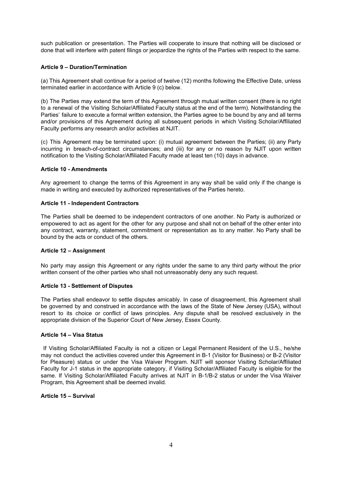such publication or presentation. The Parties will cooperate to insure that nothing will be disclosed or done that will interfere with patent filings or jeopardize the rights of the Parties with respect to the same.

### **Article 9 – Duration/Termination**

(a) This Agreement shall continue for a period of twelve (12) months following the Effective Date, unless terminated earlier in accordance with Article 9 (c) below.

(b) The Parties may extend the term of this Agreement through mutual written consent (there is no right to a renewal of the Visiting Scholar/Affiliated Faculty status at the end of the term). Notwithstanding the Parties' failure to execute a formal written extension, the Parties agree to be bound by any and all terms and/or provisions of this Agreement during all subsequent periods in which Visiting Scholar/Affiliated Faculty performs any research and/or activities at NJIT.

(c) This Agreement may be terminated upon: (i) mutual agreement between the Parties; (ii) any Party incurring in breach-of-contract circumstances; and (iii) for any or no reason by NJIT upon written notification to the Visiting Scholar/Affiliated Faculty made at least ten (10) days in advance.

#### **Article 10 - Amendments**

Any agreement to change the terms of this Agreement in any way shall be valid only if the change is made in writing and executed by authorized representatives of the Parties hereto.

#### **Article 11 - Independent Contractors**

The Parties shall be deemed to be independent contractors of one another. No Party is authorized or empowered to act as agent for the other for any purpose and shall not on behalf of the other enter into any contract, warranty, statement, commitment or representation as to any matter. No Party shall be bound by the acts or conduct of the others.

#### **Article 12 – Assignment**

No party may assign this Agreement or any rights under the same to any third party without the prior written consent of the other parties who shall not unreasonably deny any such request.

#### **Article 13 - Settlement of Disputes**

The Parties shall endeavor to settle disputes amicably. In case of disagreement, this Agreement shall be governed by and construed in accordance with the laws of the State of New Jersey (USA), without resort to its choice or conflict of laws principles. Any dispute shall be resolved exclusively in the appropriate division of the Superior Court of New Jersey, Essex County.

#### **Article 14 – Visa Status**

 If Visiting Scholar/Affiliated Faculty is not a citizen or Legal Permanent Resident of the U.S., he/she may not conduct the activities covered under this Agreement in B-1 (Visitor for Business) or B-2 (Visitor for Pleasure) status or under the Visa Waiver Program. NJIT will sponsor Visiting Scholar/Affiliated Faculty for J-1 status in the appropriate category, if Visiting Scholar/Affiliated Faculty is eligible for the same. If Visiting Scholar/Affiliated Faculty arrives at NJIT in B-1/B-2 status or under the Visa Waiver Program, this Agreement shall be deemed invalid.

#### **Article 15 – Survival**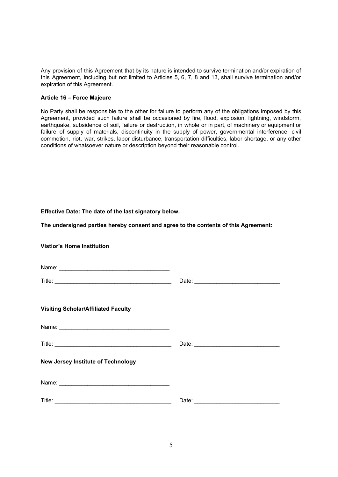Any provision of this Agreement that by its nature is intended to survive termination and/or expiration of this Agreement, including but not limited to Articles 5, 6, 7, 8 and 13, shall survive termination and/or expiration of this Agreement.

#### **Article 16 – Force Majeure**

No Party shall be responsible to the other for failure to perform any of the obligations imposed by this Agreement, provided such failure shall be occasioned by fire, flood, explosion, lightning, windstorm, earthquake, subsidence of soil, failure or destruction, in whole or in part, of machinery or equipment or failure of supply of materials, discontinuity in the supply of power, governmental interference, civil commotion, riot, war, strikes, labor disturbance, transportation difficulties, labor shortage, or any other conditions of whatsoever nature or description beyond their reasonable control.

## **Effective Date: The date of the last signatory below.**

**The undersigned parties hereby consent and agree to the contents of this Agreement:** 

| <b>Vistior's Home Institution</b>          |  |
|--------------------------------------------|--|
|                                            |  |
|                                            |  |
| <b>Visiting Scholar/Affiliated Faculty</b> |  |
|                                            |  |
|                                            |  |
| <b>New Jersey Institute of Technology</b>  |  |
|                                            |  |
|                                            |  |